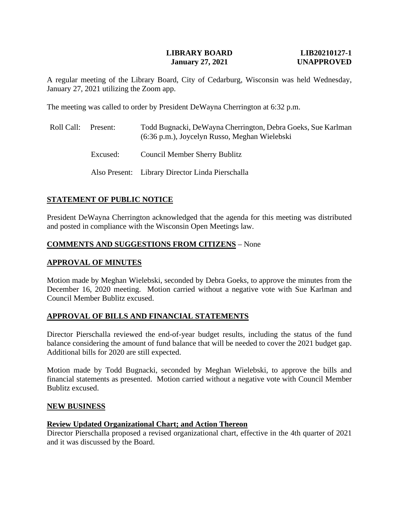#### **LIBRARY BOARD LIB20210127-1 January 27, 2021 UNAPPROVED**

A regular meeting of the Library Board, City of Cedarburg, Wisconsin was held Wednesday, January 27, 2021 utilizing the Zoom app.

The meeting was called to order by President DeWayna Cherrington at 6:32 p.m.

| Roll Call: | Present: | Todd Bugnacki, DeWayna Cherrington, Debra Goeks, Sue Karlman<br>(6:36 p.m.), Joycelyn Russo, Meghan Wielebski |
|------------|----------|---------------------------------------------------------------------------------------------------------------|
|            | Excused: | <b>Council Member Sherry Bublitz</b>                                                                          |
|            |          | Also Present: Library Director Linda Pierschalla                                                              |

### **STATEMENT OF PUBLIC NOTICE**

President DeWayna Cherrington acknowledged that the agenda for this meeting was distributed and posted in compliance with the Wisconsin Open Meetings law.

#### **COMMENTS AND SUGGESTIONS FROM CITIZENS** – None

#### **APPROVAL OF MINUTES**

Motion made by Meghan Wielebski, seconded by Debra Goeks, to approve the minutes from the December 16, 2020 meeting. Motion carried without a negative vote with Sue Karlman and Council Member Bublitz excused.

#### **APPROVAL OF BILLS AND FINANCIAL STATEMENTS**

Director Pierschalla reviewed the end-of-year budget results, including the status of the fund balance considering the amount of fund balance that will be needed to cover the 2021 budget gap. Additional bills for 2020 are still expected.

Motion made by Todd Bugnacki, seconded by Meghan Wielebski, to approve the bills and financial statements as presented. Motion carried without a negative vote with Council Member Bublitz excused.

#### **NEW BUSINESS**

#### **Review Updated Organizational Chart; and Action Thereon**

Director Pierschalla proposed a revised organizational chart, effective in the 4th quarter of 2021 and it was discussed by the Board.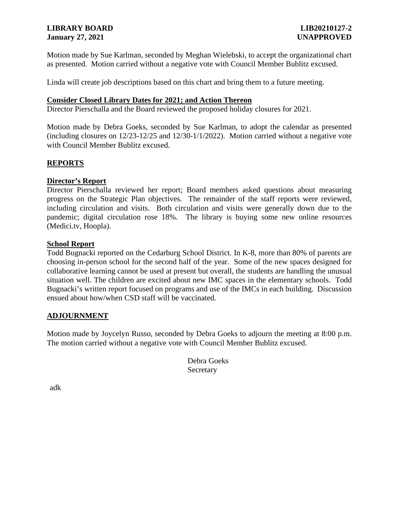# **LIBRARY BOARD LIB20210127-2 January 27, 2021 UNAPPROVED**

Motion made by Sue Karlman, seconded by Meghan Wielebski, to accept the organizational chart as presented. Motion carried without a negative vote with Council Member Bublitz excused.

Linda will create job descriptions based on this chart and bring them to a future meeting.

#### **Consider Closed Library Dates for 2021; and Action Thereon**

Director Pierschalla and the Board reviewed the proposed holiday closures for 2021.

Motion made by Debra Goeks, seconded by Sue Karlman, to adopt the calendar as presented (including closures on 12/23-12/25 and 12/30-1/1/2022). Motion carried without a negative vote with Council Member Bublitz excused.

### **REPORTS**

### **Director's Report**

Director Pierschalla reviewed her report; Board members asked questions about measuring progress on the Strategic Plan objectives. The remainder of the staff reports were reviewed, including circulation and visits. Both circulation and visits were generally down due to the pandemic; digital circulation rose 18%. The library is buying some new online resources (Medici.tv, Hoopla).

# **School Report**

Todd Bugnacki reported on the Cedarburg School District. In K-8, more than 80% of parents are choosing in-person school for the second half of the year. Some of the new spaces designed for collaborative learning cannot be used at present but overall, the students are handling the unusual situation well. The children are excited about new IMC spaces in the elementary schools. Todd Bugnacki's written report focused on programs and use of the IMCs in each building. Discussion ensued about how/when CSD staff will be vaccinated.

#### **ADJOURNMENT**

Motion made by Joycelyn Russo, seconded by Debra Goeks to adjourn the meeting at 8:00 p.m. The motion carried without a negative vote with Council Member Bublitz excused.

> Debra Goeks Secretary

adk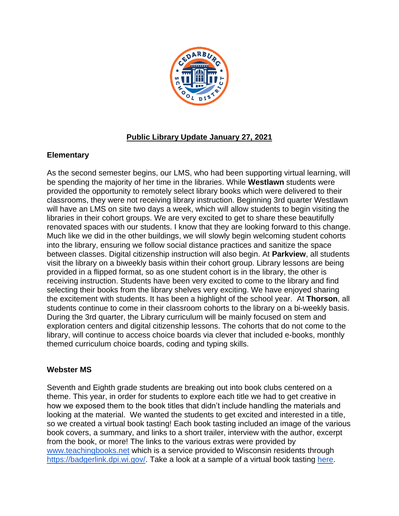

# **Public Library Update January 27, 2021**

# **Elementary**

As the second semester begins, our LMS, who had been supporting virtual learning, will be spending the majority of her time in the libraries. While **Westlawn** students were provided the opportunity to remotely select library books which were delivered to their classrooms, they were not receiving library instruction. Beginning 3rd quarter Westlawn will have an LMS on site two days a week, which will allow students to begin visiting the libraries in their cohort groups. We are very excited to get to share these beautifully renovated spaces with our students. I know that they are looking forward to this change. Much like we did in the other buildings, we will slowly begin welcoming student cohorts into the library, ensuring we follow social distance practices and sanitize the space between classes. Digital citizenship instruction will also begin. At **Parkview**, all students visit the library on a biweekly basis within their cohort group. Library lessons are being provided in a flipped format, so as one student cohort is in the library, the other is receiving instruction. Students have been very excited to come to the library and find selecting their books from the library shelves very exciting. We have enjoyed sharing the excitement with students. It has been a highlight of the school year. At **Thorson**, all students continue to come in their classroom cohorts to the library on a bi-weekly basis. During the 3rd quarter, the Library curriculum will be mainly focused on stem and exploration centers and digital citizenship lessons. The cohorts that do not come to the library, will continue to access choice boards via clever that included e-books, monthly themed curriculum choice boards, coding and typing skills.

# **Webster MS**

Seventh and Eighth grade students are breaking out into book clubs centered on a theme. This year, in order for students to explore each title we had to get creative in how we exposed them to the book titles that didn't include handling the materials and looking at the material. We wanted the students to get excited and interested in a title, so we created a virtual book tasting! Each book tasting included an image of the various book covers, a summary, and links to a short trailer, interview with the author, excerpt from the book, or more! The links to the various extras were provided by [www.teachingbooks.net](http://www.teachingbooks.net/) which is a service provided to Wisconsin residents through [https://badgerlink.dpi.wi.gov/.](https://badgerlink.dpi.wi.gov/) Take a look at a sample of a virtual book tasting [here.](https://docs.google.com/presentation/d/e/2PACX-1vQdElSOoXOVryc1xMMG_MZSE9lqZlBjNGAYy_fkJpqcFyTssSAp5QJDVJycgjCGBT8qC54kV-sYZZh7/pub?start=false&loop=false&delayms=60000&slide=id.gb737d52178_0_47)